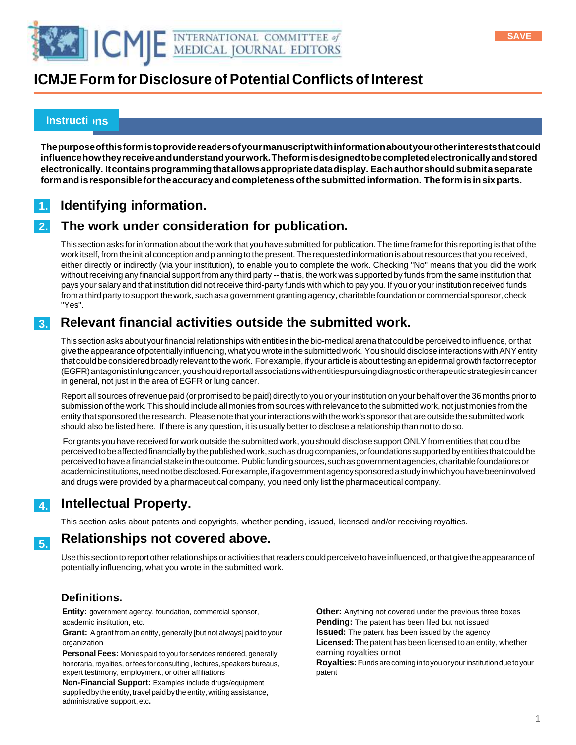

# **ICMJE** Form for Disclosure of Potential Conflicts of Interest

### **Instructi ins**

**Thepurposeofthisformistoprovidereadersofyourmanuscriptwithinformationaboutyourotherintereststhatcould influencehowtheyreceiveandunderstandyourwork.Theformisdesignedtobecompletedelectronicallyandstored electronically. Itcontainsprogrammingthatallowsappropriatedatadisplay. Eachauthorshouldsubmitaseparate formandisresponsiblefortheaccuracyandcompletenessofthesubmittedinformation. Theformisinsixparts.**

### **1. Identifying information.**

#### **2. The work under consideration for publication.**

This section asks for information about the work that you have submitted for publication. The time frame for this reporting is that of the work itself, from the initial conception and planning to the present. The requested information is about resources that you received, either directly or indirectly (via your institution), to enable you to complete the work. Checking "No" means that you did the work without receiving any financial support from any third party -- that is, the work was supported by funds from the same institution that pays your salary and that institution did not receive third-party funds with which to pay you. If you or yourinstitution received funds from a third party to support the work, such as a government granting agency, charitable foundation or commercial sponsor, check "Yes".

### **3. Relevant financial activities outside the submitted work.**

This section asks about your financial relationships with entities in the bio-medical arena that could be perceived to influence, or that give the appearance of potentially influencing, what you wrote in the submitted work. You should disclose interactions with ANY entity that could be considered broadly relevant to the work. For example, if your article is about testing an epidermal growth factor receptor (EGFR)antagonistinlungcancer,youshouldreportallassociationswithentitiespursuingdiagnosticortherapeuticstrategiesincancer in general, not just in the area of EGFR or lung cancer.

Report all sources ofrevenue paid (or promised to be paid) directly to you or yourinstitution onyour behalf overthe 36 months priorto submission of the work.This should include all monies from sources with relevance to the submitted work, not just monies from the entity that sponsored the research. Please note that yourinteractions with the work's sponsorthat are outside the submitted work should also be listed here. If there is any question, it is usually better to disclose a relationship than not to do so.

For grants you have received for work outside thesubmitted work, you should disclose supportONLYfrom entities that could be perceived to be affected financially by the published work, such as drug companies, or foundations supported by entities that could be perceivedtohaveafinancialstakeintheoutcome. Public fundingsources,suchasgovernmentagencies,charitablefoundationsor academicinstitutions,neednotbedisclosed.Forexample,ifagovernmentagencysponsoredastudyinwhichyouhavebeeninvolved and drugs were provided by a pharmaceutical company, you need only list the pharmaceutical company.

#### **4. Intellectual Property.**

This section asks about patents and copyrights, whether pending, issued, licensed and/or receiving royalties.

## **Relationships not covered above.**

Use this section to report other relationships or activities that readers could perceive to have influenced, or that give the appearance of potentially influencing, what you wrote in the submitted work.

## **Definitions.**

**5.**

**Entity:** government agency, foundation, commercial sponsor, academic institution, etc.

**Grant:** Agrant from an entity, generally [but not always] paid to your organization

**Personal Fees:** Monies paid to you for services rendered, generally honoraria, royalties, or fees for consulting , lectures, speakers bureaus, expert testimony, employment, or other affiliations

**Non-Financial Support:** Examples include drugs/equipment supplied by the entity, travel paid by the entity, writing assistance, administrative support,etc**.**

**Other:** Anything not covered under the previous three boxes **Pending:** The patent has been filed but not issued **Issued:** The patent has been issued by the agency **Licensed:**The patent has been licensed to an entity, whether earning royalties ornot **Royalties:**Fundsarecomingintoyouoryourinstitutionduetoyour patent

**SAVE**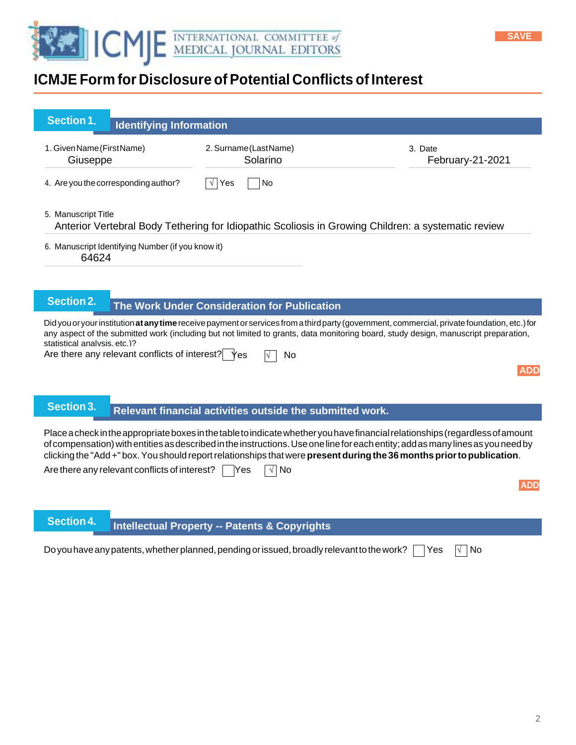

# **ICMJE** Form for Disclosure of Potential Conflicts of Interest

| Section 1.<br><b>Identifying Information</b>                                                                                                                                                                                                                                                                                                                                                                                                                        |                                                           |                             |
|---------------------------------------------------------------------------------------------------------------------------------------------------------------------------------------------------------------------------------------------------------------------------------------------------------------------------------------------------------------------------------------------------------------------------------------------------------------------|-----------------------------------------------------------|-----------------------------|
| 1. Given Name (First Name)<br>Giuseppe                                                                                                                                                                                                                                                                                                                                                                                                                              | 2. Surname (LastName)<br>Solarino                         | 3. Date<br>February-21-2021 |
| 4. Are you the corresponding author?                                                                                                                                                                                                                                                                                                                                                                                                                                | $\sqrt{ }$<br>No<br>Yes                                   |                             |
| 5. Manuscript Title<br>Anterior Vertebral Body Tethering for Idiopathic Scoliosis in Growing Children: a systematic review                                                                                                                                                                                                                                                                                                                                          |                                                           |                             |
| 6. Manuscript Identifying Number (if you know it)<br>64624                                                                                                                                                                                                                                                                                                                                                                                                          |                                                           |                             |
|                                                                                                                                                                                                                                                                                                                                                                                                                                                                     |                                                           |                             |
| <b>Section 2.</b>                                                                                                                                                                                                                                                                                                                                                                                                                                                   | The Work Under Consideration for Publication              |                             |
| Did you or your institution at any time receive payment or services from a third party (government, commercial, private foundation, etc.) for<br>any aspect of the submitted work (including but not limited to grants, data monitoring board, study design, manuscript preparation,<br>statistical analysis, etc.)?<br>Are there any relevant conflicts of interest? $\forall$ es                                                                                  |                                                           |                             |
|                                                                                                                                                                                                                                                                                                                                                                                                                                                                     | No                                                        | <b>ADD</b>                  |
|                                                                                                                                                                                                                                                                                                                                                                                                                                                                     |                                                           |                             |
| <b>Section 3.</b>                                                                                                                                                                                                                                                                                                                                                                                                                                                   | Relevant financial activities outside the submitted work. |                             |
| Place a check in the appropriate boxes in the table to indicate whether you have financial relationships (regardless of amount<br>of compensation) with entities as described in the instructions. Use one line for each entity; add as many lines as you need by<br>clicking the "Add+" box. You should report relationships that were present during the 36 months prior to publication.<br>Are there any relevant conflicts of interest?<br>$\sqrt{ NQ}$<br>lYes |                                                           |                             |
|                                                                                                                                                                                                                                                                                                                                                                                                                                                                     |                                                           | <b>ADD</b>                  |
| <b>Section 4.</b>                                                                                                                                                                                                                                                                                                                                                                                                                                                   | <b>Intellectual Property -- Patents &amp; Copyrights</b>  |                             |
| Do you have any patents, whether planned, pending or issued, broadly relevant to the work?<br>  No<br>Yes<br>$\sqrt{}$                                                                                                                                                                                                                                                                                                                                              |                                                           |                             |

**SAVE**